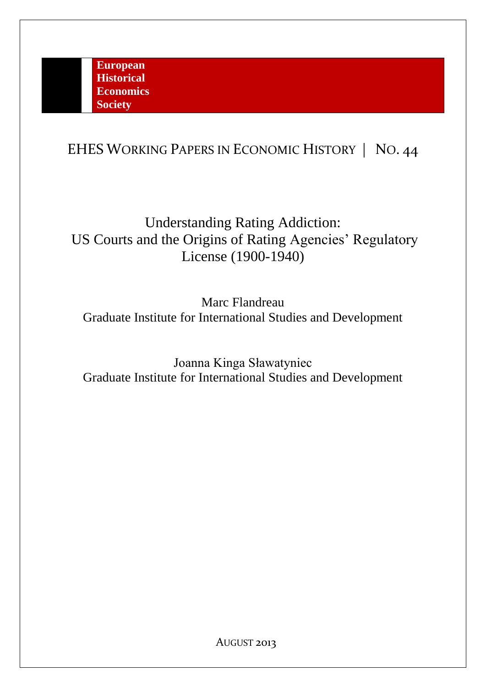# EHES WORKING PAPERS IN ECONOMIC HISTORY | NO. 44

Understanding Rating Addiction: US Courts and the Origins of Rating Agencies' Regulatory License (1900-1940)

Marc Flandreau Graduate Institute for International Studies and Development

Joanna Kinga Sławatyniec Graduate Institute for International Studies and Development

AUGUST 2013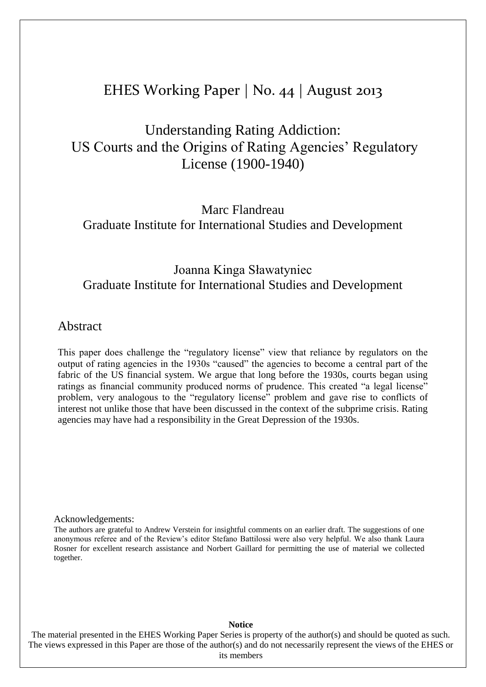## EHES Working Paper | No. 44 | August 2013

# Understanding Rating Addiction: US Courts and the Origins of Rating Agencies' Regulatory License (1900-1940)

Marc Flandreau Graduate Institute for International Studies and Development

### Joanna Kinga Sławatyniec Graduate Institute for International Studies and Development

### Abstract

This paper does challenge the "regulatory license" view that reliance by regulators on the output of rating agencies in the 1930s "caused" the agencies to become a central part of the fabric of the US financial system. We argue that long before the 1930s, courts began using ratings as financial community produced norms of prudence. This created "a legal license" problem, very analogous to the "regulatory license" problem and gave rise to conflicts of interest not unlike those that have been discussed in the context of the subprime crisis. Rating agencies may have had a responsibility in the Great Depression of the 1930s.

Acknowledgements:

The authors are grateful to Andrew Verstein for insightful comments on an earlier draft. The suggestions of one anonymous referee and of the Review's editor Stefano Battilossi were also very helpful. We also thank Laura Rosner for excellent research assistance and Norbert Gaillard for permitting the use of material we collected together.

#### **Notice**

The material presented in the EHES Working Paper Series is property of the author(s) and should be quoted as such. The views expressed in this Paper are those of the author(s) and do not necessarily represent the views of the EHES or its members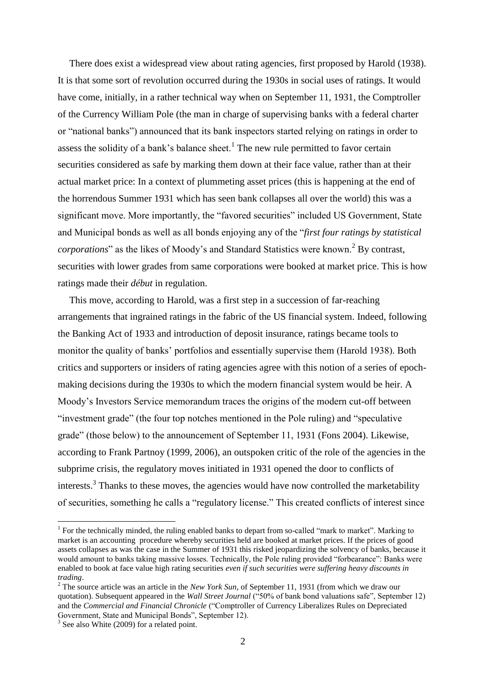There does exist a widespread view about rating agencies, first proposed by Harold (1938). It is that some sort of revolution occurred during the 1930s in social uses of ratings. It would have come, initially, in a rather technical way when on September 11, 1931, the Comptroller of the Currency William Pole (the man in charge of supervising banks with a federal charter or "national banks") announced that its bank inspectors started relying on ratings in order to assess the solidity of a bank's balance sheet.<sup>1</sup> The new rule permitted to favor certain securities considered as safe by marking them down at their face value, rather than at their actual market price: In a context of plummeting asset prices (this is happening at the end of the horrendous Summer 1931 which has seen bank collapses all over the world) this was a significant move. More importantly, the "favored securities" included US Government, State and Municipal bonds as well as all bonds enjoying any of the "*first four ratings by statistical corporations*" as the likes of Moody's and Standard Statistics were known.<sup>2</sup> By contrast, securities with lower grades from same corporations were booked at market price. This is how ratings made their *début* in regulation.

This move, according to Harold, was a first step in a succession of far-reaching arrangements that ingrained ratings in the fabric of the US financial system. Indeed, following the Banking Act of 1933 and introduction of deposit insurance, ratings became tools to monitor the quality of banks' portfolios and essentially supervise them (Harold 1938). Both critics and supporters or insiders of rating agencies agree with this notion of a series of epochmaking decisions during the 1930s to which the modern financial system would be heir. A Moody's Investors Service memorandum traces the origins of the modern cut-off between "investment grade" (the four top notches mentioned in the Pole ruling) and "speculative grade" (those below) to the announcement of September 11, 1931 (Fons 2004). Likewise, according to Frank Partnoy (1999, 2006), an outspoken critic of the role of the agencies in the subprime crisis, the regulatory moves initiated in 1931 opened the door to conflicts of interests.<sup>3</sup> Thanks to these moves, the agencies would have now controlled the marketability of securities, something he calls a "regulatory license." This created conflicts of interest since

<sup>&</sup>lt;sup>1</sup> For the technically minded, the ruling enabled banks to depart from so-called "mark to market". Marking to market is an accounting procedure whereby securities held are booked at market prices. If the prices of good assets collapses as was the case in the Summer of 1931 this risked jeopardizing the solvency of banks, because it would amount to banks taking massive losses. Technically, the Pole ruling provided "forbearance": Banks were enabled to book at face value high rating securities *even if such securities were suffering heavy discounts in trading*.

<sup>2</sup> The source article was an article in the *New York Sun*, of September 11, 1931 (from which we draw our quotation). Subsequent appeared in the *Wall Street Journal* ("50% of bank bond valuations safe", September 12) and the *Commercial and Financial Chronicle* ("Comptroller of Currency Liberalizes Rules on Depreciated Government, State and Municipal Bonds", September 12).

<sup>&</sup>lt;sup>3</sup> See also White (2009) for a related point.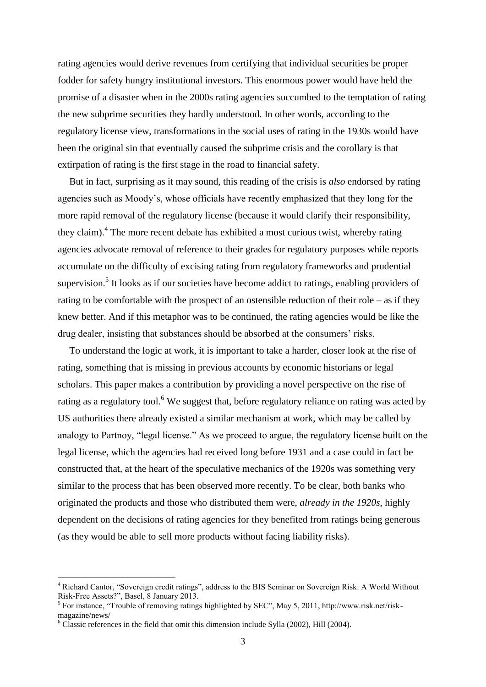rating agencies would derive revenues from certifying that individual securities be proper fodder for safety hungry institutional investors. This enormous power would have held the promise of a disaster when in the 2000s rating agencies succumbed to the temptation of rating the new subprime securities they hardly understood. In other words, according to the regulatory license view, transformations in the social uses of rating in the 1930s would have been the original sin that eventually caused the subprime crisis and the corollary is that extirpation of rating is the first stage in the road to financial safety.

But in fact, surprising as it may sound, this reading of the crisis is *also* endorsed by rating agencies such as Moody's, whose officials have recently emphasized that they long for the more rapid removal of the regulatory license (because it would clarify their responsibility, they claim).<sup>4</sup> The more recent debate has exhibited a most curious twist, whereby rating agencies advocate removal of reference to their grades for regulatory purposes while reports accumulate on the difficulty of excising rating from regulatory frameworks and prudential supervision.<sup>5</sup> It looks as if our societies have become addict to ratings, enabling providers of rating to be comfortable with the prospect of an ostensible reduction of their role – as if they knew better. And if this metaphor was to be continued, the rating agencies would be like the drug dealer, insisting that substances should be absorbed at the consumers' risks.

To understand the logic at work, it is important to take a harder, closer look at the rise of rating, something that is missing in previous accounts by economic historians or legal scholars. This paper makes a contribution by providing a novel perspective on the rise of rating as a regulatory tool.<sup>6</sup> We suggest that, before regulatory reliance on rating was acted by US authorities there already existed a similar mechanism at work, which may be called by analogy to Partnoy, "legal license." As we proceed to argue, the regulatory license built on the legal license, which the agencies had received long before 1931 and a case could in fact be constructed that, at the heart of the speculative mechanics of the 1920s was something very similar to the process that has been observed more recently. To be clear, both banks who originated the products and those who distributed them were, *already in the 1920s*, highly dependent on the decisions of rating agencies for they benefited from ratings being generous (as they would be able to sell more products without facing liability risks).

<u>.</u>

<sup>4</sup> Richard Cantor, "Sovereign credit ratings", address to the BIS Seminar on Sovereign Risk: A World Without Risk-Free Assets?", Basel, 8 January 2013.

<sup>&</sup>lt;sup>5</sup> For instance, "Trouble of removing ratings highlighted by SEC", May 5, 2011, http://www.risk.net/riskmagazine/news/

 $6$  Classic references in the field that omit this dimension include Sylla (2002), Hill (2004).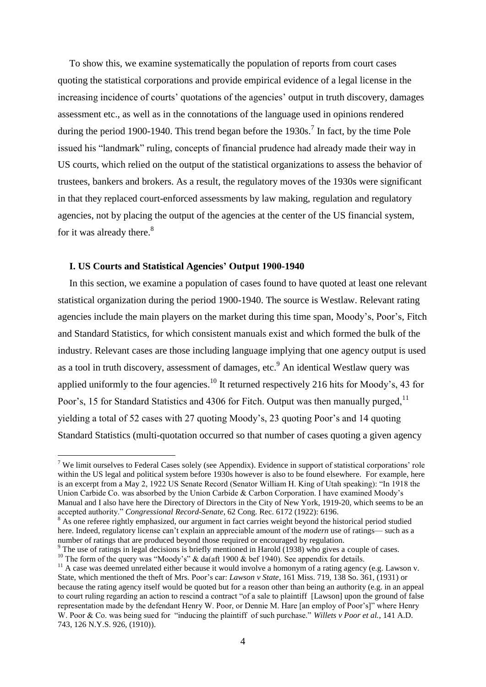To show this, we examine systematically the population of reports from court cases quoting the statistical corporations and provide empirical evidence of a legal license in the increasing incidence of courts' quotations of the agencies' output in truth discovery, damages assessment etc., as well as in the connotations of the language used in opinions rendered during the period 1900-1940. This trend began before the 1930s.<sup>7</sup> In fact, by the time Pole issued his "landmark" ruling, concepts of financial prudence had already made their way in US courts, which relied on the output of the statistical organizations to assess the behavior of trustees, bankers and brokers. As a result, the regulatory moves of the 1930s were significant in that they replaced court-enforced assessments by law making, regulation and regulatory agencies, not by placing the output of the agencies at the center of the US financial system, for it was already there.<sup>8</sup>

#### **I. US Courts and Statistical Agencies' Output 1900-1940**

1

In this section, we examine a population of cases found to have quoted at least one relevant statistical organization during the period 1900-1940. The source is Westlaw. Relevant rating agencies include the main players on the market during this time span, Moody's, Poor's, Fitch and Standard Statistics, for which consistent manuals exist and which formed the bulk of the industry. Relevant cases are those including language implying that one agency output is used as a tool in truth discovery, assessment of damages, etc.<sup>9</sup> An identical Westlaw query was applied uniformly to the four agencies.<sup>10</sup> It returned respectively 216 hits for Moody's, 43 for Poor's, 15 for Standard Statistics and 4306 for Fitch. Output was then manually purged.<sup>11</sup> yielding a total of 52 cases with 27 quoting Moody's, 23 quoting Poor's and 14 quoting Standard Statistics (multi-quotation occurred so that number of cases quoting a given agency

 $7$  We limit ourselves to Federal Cases solely (see Appendix). Evidence in support of statistical corporations' role within the US legal and political system before 1930s however is also to be found elsewhere. For example, here is an excerpt from a May 2, 1922 US Senate Record (Senator William H. King of Utah speaking): "In 1918 the Union Carbide Co. was absorbed by the Union Carbide & Carbon Corporation. I have examined Moody's Manual and I also have here the Directory of Directors in the City of New York, 1919-20, which seems to be an accepted authority." *Congressional Record-Senate*, 62 Cong. Rec. 6172 (1922): 6196.

<sup>&</sup>lt;sup>8</sup> As one referee rightly emphasized, our argument in fact carries weight beyond the historical period studied here. Indeed, regulatory license can't explain an appreciable amount of the *modern* use of ratings— such as a number of ratings that are produced beyond those required or encouraged by regulation.

<sup>&</sup>lt;sup>9</sup> The use of ratings in legal decisions is briefly mentioned in Harold (1938) who gives a couple of cases. <sup>10</sup> The form of the query was "Moody's" & da(aft 1900 & bef 1940). See appendix for details.

<sup>&</sup>lt;sup>11</sup> A case was deemed unrelated either because it would involve a homonym of a rating agency (e.g. Lawson v. State, which mentioned the theft of Mrs. Poor's car: *Lawson v State*, 161 Miss. 719, 138 So. 361, (1931) or because the rating agency itself would be quoted but for a reason other than being an authority (e.g. in an appeal to court ruling regarding an action to rescind a contract "of a sale to plaintiff [Lawson] upon the ground of false representation made by the defendant Henry W. Poor, or Dennie M. Hare [an employ of Poor's]" where Henry W. Poor & Co. was being sued for "inducing the plaintiff of such purchase." *Willets v Poor et al.*, 141 A.D. 743, 126 N.Y.S. 926, (1910)).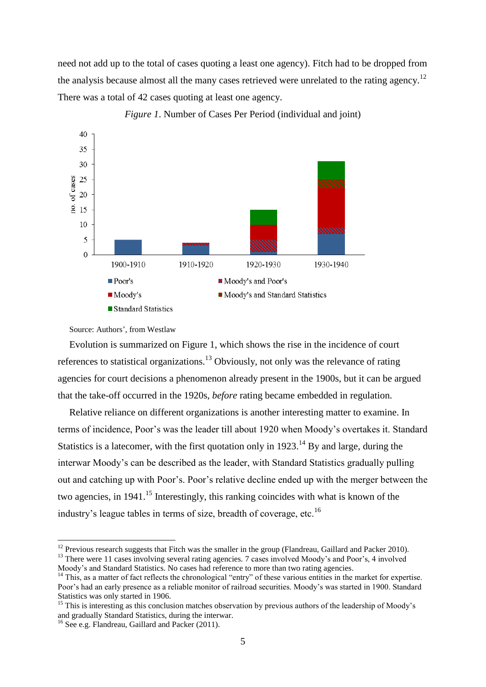need not add up to the total of cases quoting a least one agency). Fitch had to be dropped from the analysis because almost all the many cases retrieved were unrelated to the rating agency.<sup>12</sup> There was a total of 42 cases quoting at least one agency.



*Figure 1*. Number of Cases Per Period (individual and joint)

Evolution is summarized on Figure 1, which shows the rise in the incidence of court references to statistical organizations.<sup>13</sup> Obviously, not only was the relevance of rating agencies for court decisions a phenomenon already present in the 1900s, but it can be argued that the take-off occurred in the 1920s, *before* rating became embedded in regulation.

Relative reliance on different organizations is another interesting matter to examine. In terms of incidence, Poor's was the leader till about 1920 when Moody's overtakes it. Standard Statistics is a latecomer, with the first quotation only in  $1923$ .<sup>14</sup> By and large, during the interwar Moody's can be described as the leader, with Standard Statistics gradually pulling out and catching up with Poor's. Poor's relative decline ended up with the merger between the two agencies, in 1941.<sup>15</sup> Interestingly, this ranking coincides with what is known of the industry's league tables in terms of size, breadth of coverage, etc.<sup>16</sup>

Source: Authors', from Westlaw

 $12$  Previous research suggests that Fitch was the smaller in the group (Flandreau, Gaillard and Packer 2010). <sup>13</sup> There were 11 cases involving several rating agencies. 7 cases involved Moody's and Poor's, 4 involved

Moody's and Standard Statistics. No cases had reference to more than two rating agencies.

<sup>&</sup>lt;sup>14</sup> This, as a matter of fact reflects the chronological "entry" of these various entities in the market for expertise. Poor's had an early presence as a reliable monitor of railroad securities. Moody's was started in 1900. Standard Statistics was only started in 1906.

<sup>&</sup>lt;sup>15</sup> This is interesting as this conclusion matches observation by previous authors of the leadership of Moody's and gradually Standard Statistics, during the interwar.

<sup>&</sup>lt;sup>16</sup> See e.g. Flandreau, Gaillard and Packer (2011).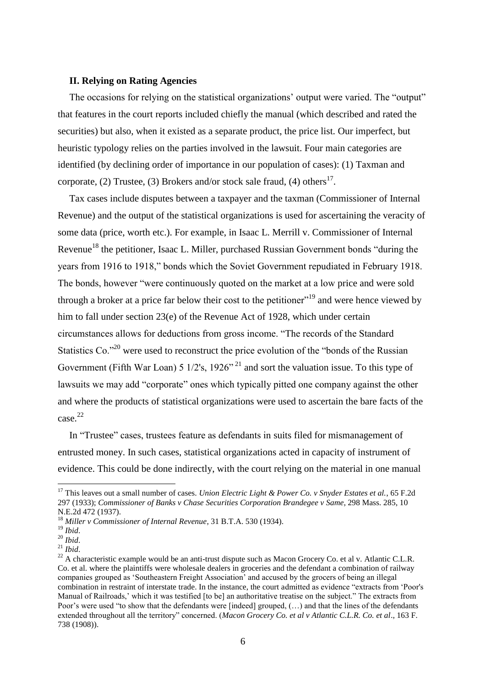#### **II. Relying on Rating Agencies**

The occasions for relying on the statistical organizations' output were varied. The "output" that features in the court reports included chiefly the manual (which described and rated the securities) but also, when it existed as a separate product, the price list. Our imperfect, but heuristic typology relies on the parties involved in the lawsuit. Four main categories are identified (by declining order of importance in our population of cases): (1) Taxman and corporate, (2) Trustee, (3) Brokers and/or stock sale fraud, (4) others<sup>17</sup>.

Tax cases include disputes between a taxpayer and the taxman (Commissioner of Internal Revenue) and the output of the statistical organizations is used for ascertaining the veracity of some data (price, worth etc.). For example, in Isaac L. Merrill v. Commissioner of Internal Revenue<sup>18</sup> the petitioner, Isaac L. Miller, purchased Russian Government bonds "during the years from 1916 to 1918," bonds which the Soviet Government repudiated in February 1918. The bonds, however "were continuously quoted on the market at a low price and were sold through a broker at a price far below their cost to the petitioner"<sup>19</sup> and were hence viewed by him to fall under section 23(e) of the Revenue Act of 1928, which under certain circumstances allows for deductions from gross income. "The records of the Standard Statistics Co.<sup>220</sup> were used to reconstruct the price evolution of the "bonds of the Russian" Government (Fifth War Loan)  $5 \frac{1}{2}$ 's,  $\frac{1926}{2}$ <sup>21</sup> and sort the valuation issue. To this type of lawsuits we may add "corporate" ones which typically pitted one company against the other and where the products of statistical organizations were used to ascertain the bare facts of the case. 22

In "Trustee" cases, trustees feature as defendants in suits filed for mismanagement of entrusted money. In such cases, statistical organizations acted in capacity of instrument of evidence. This could be done indirectly, with the court relying on the material in one manual

<sup>&</sup>lt;sup>17</sup> This leaves out a small number of cases. *Union Electric Light & Power Co. v Snyder Estates et al.*, 65 F.2d 297 (1933); *Commissioner of Banks v Chase Securities Corporation Brandegee v Same*, 298 Mass. 285, 10 N.E.2d 472 (1937).

<sup>18</sup> *Miller v Commissioner of Internal Revenue*, 31 B.T.A. 530 (1934).

<sup>19</sup> *Ibid*.

<sup>20</sup> *Ibid*.

 $^{21}$  *Ibid.* 

<sup>&</sup>lt;sup>22</sup> A characteristic example would be an anti-trust dispute such as Macon Grocery Co. et al v. Atlantic C.L.R. Co. et al. where the plaintiffs were wholesale dealers in groceries and the defendant a combination of railway companies grouped as 'Southeastern Freight Association' and accused by the grocers of being an illegal combination in restraint of interstate trade. In the instance, the court admitted as evidence "extracts from 'Poor's Manual of Railroads,' which it was testified [to be] an authoritative treatise on the subject." The extracts from Poor's were used "to show that the defendants were [indeed] grouped, (…) and that the lines of the defendants extended throughout all the territory" concerned. (*Macon Grocery Co. et al v Atlantic C.L.R. Co. et al*., 163 F. 738 (1908)).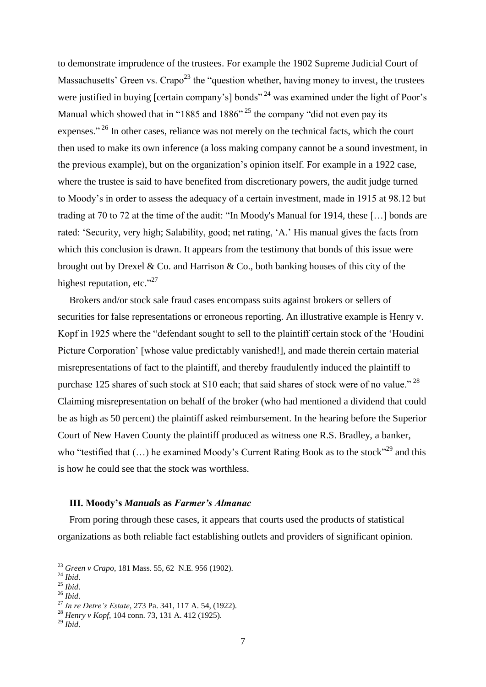to demonstrate imprudence of the trustees. For example the 1902 Supreme Judicial Court of Massachusetts' Green vs. Crapo<sup>23</sup> the "question whether, having money to invest, the trustees were justified in buying [certain company's] bonds"<sup>24</sup> was examined under the light of Poor's Manual which showed that in "1885 and 1886"<sup>25</sup> the company "did not even pay its expenses." <sup>26</sup> In other cases, reliance was not merely on the technical facts, which the court then used to make its own inference (a loss making company cannot be a sound investment, in the previous example), but on the organization's opinion itself. For example in a 1922 case, where the trustee is said to have benefited from discretionary powers, the audit judge turned to Moody's in order to assess the adequacy of a certain investment, made in 1915 at 98.12 but trading at 70 to 72 at the time of the audit: "In Moody's Manual for 1914, these […] bonds are rated: 'Security, very high; Salability, good; net rating, 'A.' His manual gives the facts from which this conclusion is drawn. It appears from the testimony that bonds of this issue were brought out by Drexel & Co. and Harrison & Co., both banking houses of this city of the highest reputation, etc."<sup>27</sup>

Brokers and/or stock sale fraud cases encompass suits against brokers or sellers of securities for false representations or erroneous reporting. An illustrative example is Henry v. Kopf in 1925 where the "defendant sought to sell to the plaintiff certain stock of the 'Houdini Picture Corporation' [whose value predictably vanished!], and made therein certain material misrepresentations of fact to the plaintiff, and thereby fraudulently induced the plaintiff to purchase 125 shares of such stock at \$10 each; that said shares of stock were of no value."<sup>28</sup> Claiming misrepresentation on behalf of the broker (who had mentioned a dividend that could be as high as 50 percent) the plaintiff asked reimbursement. In the hearing before the Superior Court of New Haven County the plaintiff produced as witness one R.S. Bradley, a banker, who "testified that  $(...)$  he examined Moody's Current Rating Book as to the stock"<sup>29</sup> and this is how he could see that the stock was worthless.

#### **III. Moody's** *Manuals* **as** *Farmer's Almanac*

From poring through these cases, it appears that courts used the products of statistical organizations as both reliable fact establishing outlets and providers of significant opinion.

<sup>23</sup> *Green v Crapo*, 181 Mass. 55, 62 N.E. 956 (1902).

<sup>24</sup> *Ibid*.

<sup>25</sup> *Ibid*.

<sup>26</sup> *Ibid*.

<sup>27</sup> *In re Detre's Estate*, 273 Pa. 341, 117 A. 54, (1922).

<sup>28</sup> *Henry v Kopf*, 104 conn. 73, 131 A. 412 (1925).

<sup>29</sup> *Ibid*.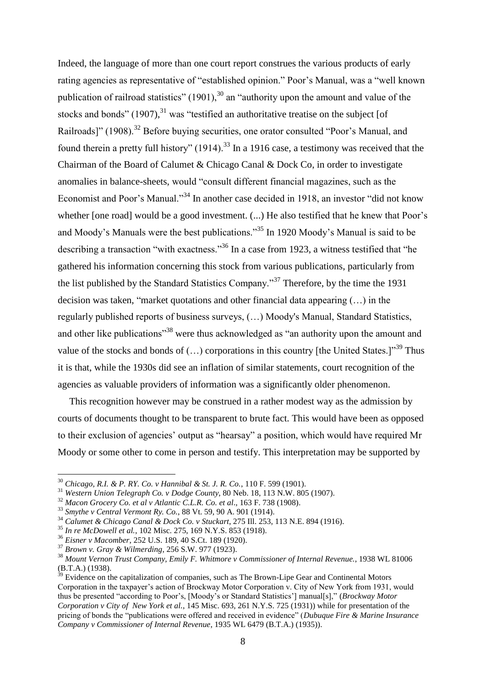Indeed, the language of more than one court report construes the various products of early rating agencies as representative of "established opinion." Poor's Manual, was a "well known publication of railroad statistics"  $(1901)$ ,  $30$  an "authority upon the amount and value of the stocks and bonds"  $(1907)$ ,  $31$  was "testified an authoritative treatise on the subject [of Railroads]" (1908).<sup>32</sup> Before buying securities, one orator consulted "Poor's Manual, and found therein a pretty full history" (1914).<sup>33</sup> In a 1916 case, a testimony was received that the Chairman of the Board of Calumet & Chicago Canal & Dock Co, in order to investigate anomalies in balance-sheets, would "consult different financial magazines, such as the Economist and Poor's Manual."<sup>34</sup> In another case decided in 1918, an investor "did not know whether [one road] would be a good investment. (...) He also testified that he knew that Poor's and Moody's Manuals were the best publications."<sup>35</sup> In 1920 Moody's Manual is said to be describing a transaction "with exactness."<sup>36</sup> In a case from 1923, a witness testified that "he gathered his information concerning this stock from various publications, particularly from the list published by the Standard Statistics Company."<sup>37</sup> Therefore, by the time the 1931 decision was taken, "market quotations and other financial data appearing (…) in the regularly published reports of business surveys, (…) Moody's Manual, Standard Statistics, and other like publications<sup>"38</sup> were thus acknowledged as "an authority upon the amount and value of the stocks and bonds of  $(...)$  corporations in this country [the United States.]<sup>"39</sup> Thus it is that, while the 1930s did see an inflation of similar statements, court recognition of the agencies as valuable providers of information was a significantly older phenomenon.

This recognition however may be construed in a rather modest way as the admission by courts of documents thought to be transparent to brute fact. This would have been as opposed to their exclusion of agencies' output as "hearsay" a position, which would have required Mr Moody or some other to come in person and testify. This interpretation may be supported by

<sup>30</sup> *Chicago, R.I. & P. RY. Co. v Hannibal & St. J. R. Co.*, 110 F. 599 (1901).

<sup>31</sup> *Western Union Telegraph Co. v Dodge County*, 80 Neb. 18, 113 N.W. 805 (1907).

<sup>32</sup> *Macon Grocery Co. et al v Atlantic C.L.R. Co. et al*., 163 F. 738 (1908).

<sup>33</sup> *Smythe v Central Vermont Ry. Co.*, 88 Vt. 59, 90 A. 901 (1914).

<sup>34</sup> *Calumet & Chicago Canal & Dock Co. v Stuckart*, 275 Ill. 253, 113 N.E. 894 (1916).

<sup>35</sup> *In re McDowell et al.*, 102 Misc. 275, 169 N.Y.S. 853 (1918).

<sup>36</sup> *Eisner v Macomber*, 252 U.S. 189, 40 S.Ct. 189 (1920).

<sup>37</sup> *Brown v. Gray & Wilmerding*, 256 S.W. 977 (1923).

<sup>38</sup> *Mount Vernon Trust Company, Emily F. Whitmore v Commissioner of Internal Revenue.*, 1938 WL 81006 (B.T.A.) (1938).

 $3<sup>9</sup>$  Evidence on the capitalization of companies, such as The Brown-Lipe Gear and Continental Motors Corporation in the taxpayer's action of Brockway Motor Corporation v. City of New York from 1931, would thus be presented "according to Poor's, [Moody's or Standard Statistics'] manual[s]," (*Brockway Motor Corporation v City of New York et al.*, 145 Misc. 693, 261 N.Y.S. 725 (1931)) while for presentation of the pricing of bonds the "publications were offered and received in evidence" (*Dubuque Fire & Marine Insurance Company v Commissioner of Internal Revenue*, 1935 WL 6479 (B.T.A.) (1935)).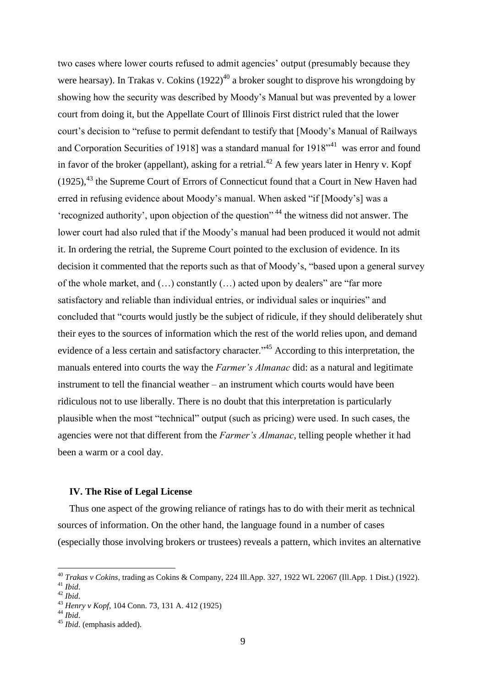two cases where lower courts refused to admit agencies' output (presumably because they were hearsay). In Trakas v. Cokins  $(1922)^{40}$  a broker sought to disprove his wrongdoing by showing how the security was described by Moody's Manual but was prevented by a lower court from doing it, but the Appellate Court of Illinois First district ruled that the lower court's decision to "refuse to permit defendant to testify that [Moody's Manual of Railways and Corporation Securities of 1918] was a standard manual for  $1918^{\prime\prime41}$  was error and found in favor of the broker (appellant), asking for a retrial.<sup>42</sup> A few years later in Henry v. Kopf  $(1925)$ ,<sup>43</sup> the Supreme Court of Errors of Connecticut found that a Court in New Haven had erred in refusing evidence about Moody's manual. When asked "if [Moody's] was a 'recognized authority', upon objection of the question" <sup>44</sup> the witness did not answer. The lower court had also ruled that if the Moody's manual had been produced it would not admit it. In ordering the retrial, the Supreme Court pointed to the exclusion of evidence. In its decision it commented that the reports such as that of Moody's, "based upon a general survey of the whole market, and  $(...)$  constantly  $(...)$  acted upon by dealers" are "far more satisfactory and reliable than individual entries, or individual sales or inquiries" and concluded that "courts would justly be the subject of ridicule, if they should deliberately shut their eyes to the sources of information which the rest of the world relies upon, and demand evidence of a less certain and satisfactory character.<sup>45</sup> According to this interpretation, the manuals entered into courts the way the *Farmer's Almanac* did: as a natural and legitimate instrument to tell the financial weather – an instrument which courts would have been ridiculous not to use liberally. There is no doubt that this interpretation is particularly plausible when the most "technical" output (such as pricing) were used. In such cases, the agencies were not that different from the *Farmer's Almanac*, telling people whether it had been a warm or a cool day.

#### **IV. The Rise of Legal License**

Thus one aspect of the growing reliance of ratings has to do with their merit as technical sources of information. On the other hand, the language found in a number of cases (especially those involving brokers or trustees) reveals a pattern, which invites an alternative

<u>.</u>

<sup>40</sup> *Trakas v Cokins*, trading as Cokins & Company, 224 Ill.App. 327, 1922 WL 22067 (Ill.App. 1 Dist.) (1922).

<sup>41</sup> *Ibid*.

<sup>42</sup> *Ibid*.

<sup>43</sup> *Henry v Kopf*, 104 Conn. 73, 131 A. 412 (1925)

<sup>44</sup> *Ibid*.

<sup>45</sup> *Ibid*. (emphasis added).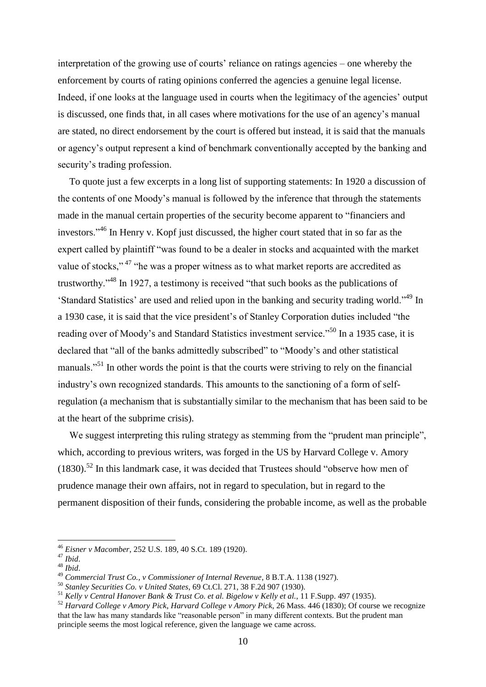interpretation of the growing use of courts' reliance on ratings agencies – one whereby the enforcement by courts of rating opinions conferred the agencies a genuine legal license. Indeed, if one looks at the language used in courts when the legitimacy of the agencies' output is discussed, one finds that, in all cases where motivations for the use of an agency's manual are stated, no direct endorsement by the court is offered but instead, it is said that the manuals or agency's output represent a kind of benchmark conventionally accepted by the banking and security's trading profession.

To quote just a few excerpts in a long list of supporting statements: In 1920 a discussion of the contents of one Moody's manual is followed by the inference that through the statements made in the manual certain properties of the security become apparent to "financiers and investors."<sup>46</sup> In Henry v. Kopf just discussed, the higher court stated that in so far as the expert called by plaintiff "was found to be a dealer in stocks and acquainted with the market value of stocks,"<sup>47</sup> "he was a proper witness as to what market reports are accredited as trustworthy."<sup>48</sup> In 1927, a testimony is received "that such books as the publications of 'Standard Statistics' are used and relied upon in the banking and security trading world."<sup>49</sup> In a 1930 case, it is said that the vice president's of Stanley Corporation duties included "the reading over of Moody's and Standard Statistics investment service."<sup>50</sup> In a 1935 case, it is declared that "all of the banks admittedly subscribed" to "Moody's and other statistical manuals.<sup>551</sup> In other words the point is that the courts were striving to rely on the financial industry's own recognized standards. This amounts to the sanctioning of a form of selfregulation (a mechanism that is substantially similar to the mechanism that has been said to be at the heart of the subprime crisis).

We suggest interpreting this ruling strategy as stemming from the "prudent man principle", which, according to previous writers, was forged in the US by Harvard College v. Amory  $(1830).$ <sup>52</sup> In this landmark case, it was decided that Trustees should "observe how men of prudence manage their own affairs, not in regard to speculation, but in regard to the permanent disposition of their funds, considering the probable income, as well as the probable

<sup>46</sup> *Eisner v Macomber*, 252 U.S. 189, 40 S.Ct. 189 (1920).

<sup>47</sup> *Ibid*.

<sup>48</sup> *Ibid*.

<sup>49</sup> *Commercial Trust Co., v Commissioner of Internal Revenue*, 8 B.T.A. 1138 (1927).

<sup>50</sup> *Stanley Securities Co. v United States*, 69 Ct.Cl. 271, 38 F.2d 907 (1930).

<sup>51</sup> *Kelly v Central Hanover Bank & Trust Co. et al. Bigelow v Kelly et al.*, 11 F.Supp. 497 (1935).

<sup>52</sup> *Harvard College v Amory Pick*, *Harvard College v Amory Pick*, 26 Mass. 446 (1830); Of course we recognize that the law has many standards like "reasonable person" in many different contexts. But the prudent man principle seems the most logical reference, given the language we came across.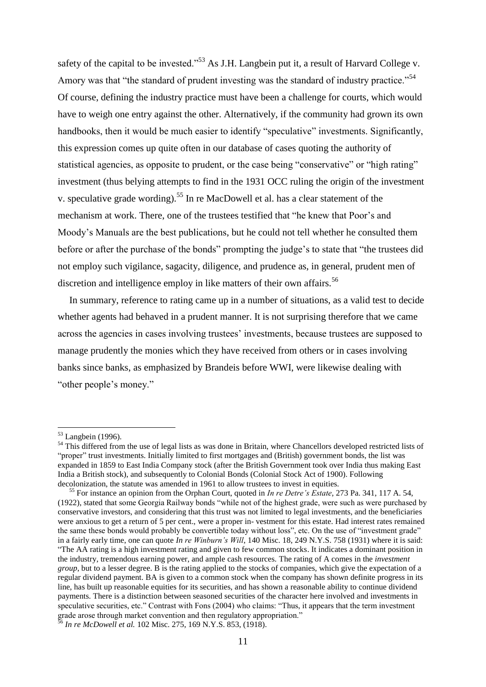safety of the capital to be invested."<sup>53</sup> As J.H. Langbein put it, a result of Harvard College v. Amory was that "the standard of prudent investing was the standard of industry practice."<sup>54</sup> Of course, defining the industry practice must have been a challenge for courts, which would have to weigh one entry against the other. Alternatively, if the community had grown its own handbooks, then it would be much easier to identify "speculative" investments. Significantly, this expression comes up quite often in our database of cases quoting the authority of statistical agencies, as opposite to prudent, or the case being "conservative" or "high rating" investment (thus belying attempts to find in the 1931 OCC ruling the origin of the investment v. speculative grade wording).<sup>55</sup> In re MacDowell et al. has a clear statement of the mechanism at work. There, one of the trustees testified that "he knew that Poor's and Moody's Manuals are the best publications, but he could not tell whether he consulted them before or after the purchase of the bonds" prompting the judge's to state that "the trustees did not employ such vigilance, sagacity, diligence, and prudence as, in general, prudent men of discretion and intelligence employ in like matters of their own affairs.<sup>56</sup>

In summary, reference to rating came up in a number of situations, as a valid test to decide whether agents had behaved in a prudent manner. It is not surprising therefore that we came across the agencies in cases involving trustees' investments, because trustees are supposed to manage prudently the monies which they have received from others or in cases involving banks since banks, as emphasized by Brandeis before WWI, were likewise dealing with "other people's money."

<u>.</u>

<sup>&</sup>lt;sup>53</sup> Langbein (1996).

<sup>&</sup>lt;sup>54</sup> This differed from the use of legal lists as was done in Britain, where Chancellors developed restricted lists of "proper" trust investments. Initially limited to first mortgages and (British) government bonds, the list was expanded in 1859 to East India Company stock (after the British Government took over India thus making East India a British stock), and subsequently to Colonial Bonds (Colonial Stock Act of 1900). Following decolonization, the statute was amended in 1961 to allow trustees to invest in equities.

<sup>55</sup> For instance an opinion from the Orphan Court, quoted in *In re Detre's Estate*, 273 Pa. 341, 117 A. 54, (1922), stated that some Georgia Railway bonds "while not of the highest grade, were such as were purchased by conservative investors, and considering that this trust was not limited to legal investments, and the beneficiaries were anxious to get a return of 5 per cent., were a proper in- vestment for this estate. Had interest rates remained the same these bonds would probably be convertible today without loss", etc. On the use of "investment grade" in a fairly early time, one can quote *In re Winburn's Will*, 140 Misc. 18, 249 N.Y.S. 758 (1931) where it is said: "The AA rating is a high investment rating and given to few common stocks. It indicates a dominant position in the industry, tremendous earning power, and ample cash resources. The rating of A comes in the *investment group*, but to a lesser degree. B is the rating applied to the stocks of companies, which give the expectation of a regular dividend payment. BA is given to a common stock when the company has shown definite progress in its line, has built up reasonable equities for its securities, and has shown a reasonable ability to continue dividend payments. There is a distinction between seasoned securities of the character here involved and investments in speculative securities, etc." Contrast with Fons (2004) who claims: "Thus, it appears that the term investment grade arose through market convention and then regulatory appropriation." <sup>56</sup> *In re McDowell et al.* 102 Misc. 275, 169 N.Y.S. 853, (1918).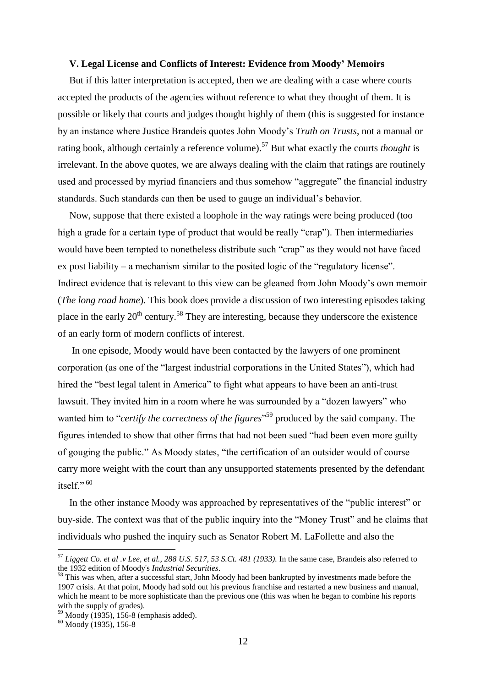#### **V. Legal License and Conflicts of Interest: Evidence from Moody' Memoirs**

But if this latter interpretation is accepted, then we are dealing with a case where courts accepted the products of the agencies without reference to what they thought of them. It is possible or likely that courts and judges thought highly of them (this is suggested for instance by an instance where Justice Brandeis quotes John Moody's *Truth on Trusts*, not a manual or rating book, although certainly a reference volume).<sup>57</sup> But what exactly the courts *thought* is irrelevant. In the above quotes, we are always dealing with the claim that ratings are routinely used and processed by myriad financiers and thus somehow "aggregate" the financial industry standards. Such standards can then be used to gauge an individual's behavior.

Now, suppose that there existed a loophole in the way ratings were being produced (too high a grade for a certain type of product that would be really "crap"). Then intermediaries would have been tempted to nonetheless distribute such "crap" as they would not have faced ex post liability – a mechanism similar to the posited logic of the "regulatory license". Indirect evidence that is relevant to this view can be gleaned from John Moody's own memoir (*The long road home*). This book does provide a discussion of two interesting episodes taking place in the early  $20^{th}$  century.<sup>58</sup> They are interesting, because they underscore the existence of an early form of modern conflicts of interest.

In one episode, Moody would have been contacted by the lawyers of one prominent corporation (as one of the "largest industrial corporations in the United States"), which had hired the "best legal talent in America" to fight what appears to have been an anti-trust lawsuit. They invited him in a room where he was surrounded by a "dozen lawyers" who wanted him to "*certify the correctness of the figures*" <sup>59</sup> produced by the said company. The figures intended to show that other firms that had not been sued "had been even more guilty of gouging the public." As Moody states, "the certification of an outsider would of course carry more weight with the court than any unsupported statements presented by the defendant itself $\cdot$ <sup>60</sup>

In the other instance Moody was approached by representatives of the "public interest" or buy-side. The context was that of the public inquiry into the "Money Trust" and he claims that individuals who pushed the inquiry such as Senator Robert M. LaFollette and also the

<u>.</u>

<sup>57</sup> *Liggett Co. et al .v Lee, et al., 288 U.S. 517, 53 S.Ct. 481 (1933).* In the same case, Brandeis also referred to the 1932 edition of Moody's *Industrial Securities*.

<sup>&</sup>lt;sup>58</sup> This was when, after a successful start, John Moody had been bankrupted by investments made before the 1907 crisis. At that point, Moody had sold out his previous franchise and restarted a new business and manual, which he meant to be more sophisticate than the previous one (this was when he began to combine his reports with the supply of grades).

 $59$  Moody (1935), 156-8 (emphasis added).

 $60$  Moody (1935), 156-8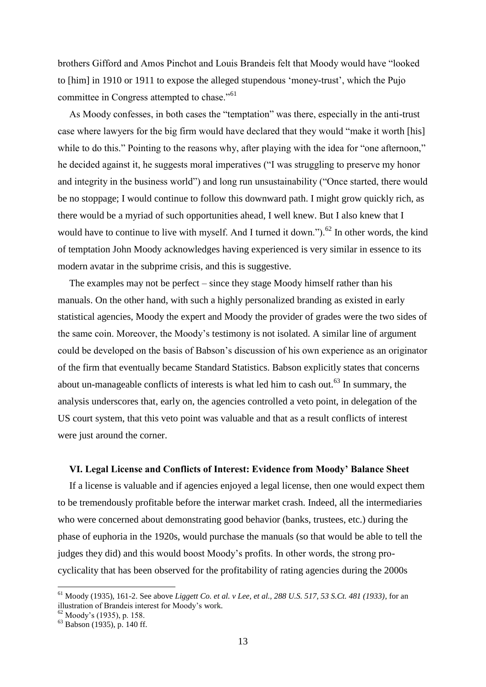brothers Gifford and Amos Pinchot and Louis Brandeis felt that Moody would have "looked to [him] in 1910 or 1911 to expose the alleged stupendous 'money-trust', which the Pujo committee in Congress attempted to chase."<sup>61</sup>

As Moody confesses, in both cases the "temptation" was there, especially in the anti-trust case where lawyers for the big firm would have declared that they would "make it worth [his] while to do this." Pointing to the reasons why, after playing with the idea for "one afternoon," he decided against it, he suggests moral imperatives ("I was struggling to preserve my honor and integrity in the business world") and long run unsustainability ("Once started, there would be no stoppage; I would continue to follow this downward path. I might grow quickly rich, as there would be a myriad of such opportunities ahead, I well knew. But I also knew that I would have to continue to live with myself. And I turned it down." $)$ .<sup>62</sup> In other words, the kind of temptation John Moody acknowledges having experienced is very similar in essence to its modern avatar in the subprime crisis, and this is suggestive.

The examples may not be perfect – since they stage Moody himself rather than his manuals. On the other hand, with such a highly personalized branding as existed in early statistical agencies, Moody the expert and Moody the provider of grades were the two sides of the same coin. Moreover, the Moody's testimony is not isolated. A similar line of argument could be developed on the basis of Babson's discussion of his own experience as an originator of the firm that eventually became Standard Statistics. Babson explicitly states that concerns about un-manageable conflicts of interests is what led him to cash out.<sup>63</sup> In summary, the analysis underscores that, early on, the agencies controlled a veto point, in delegation of the US court system, that this veto point was valuable and that as a result conflicts of interest were just around the corner.

#### **VI. Legal License and Conflicts of Interest: Evidence from Moody' Balance Sheet**

If a license is valuable and if agencies enjoyed a legal license, then one would expect them to be tremendously profitable before the interwar market crash. Indeed, all the intermediaries who were concerned about demonstrating good behavior (banks, trustees, etc.) during the phase of euphoria in the 1920s, would purchase the manuals (so that would be able to tell the judges they did) and this would boost Moody's profits. In other words, the strong procyclicality that has been observed for the profitability of rating agencies during the 2000s

<sup>61</sup> Moody (1935), 161-2. See above *Liggett Co. et al. v Lee, et al., 288 U.S. 517, 53 S.Ct. 481 (1933)*, for an illustration of Brandeis interest for Moody's work.

<sup>&</sup>lt;sup>62</sup> Moody's (1935), p. 158.

<sup>63</sup> Babson (1935), p. 140 ff.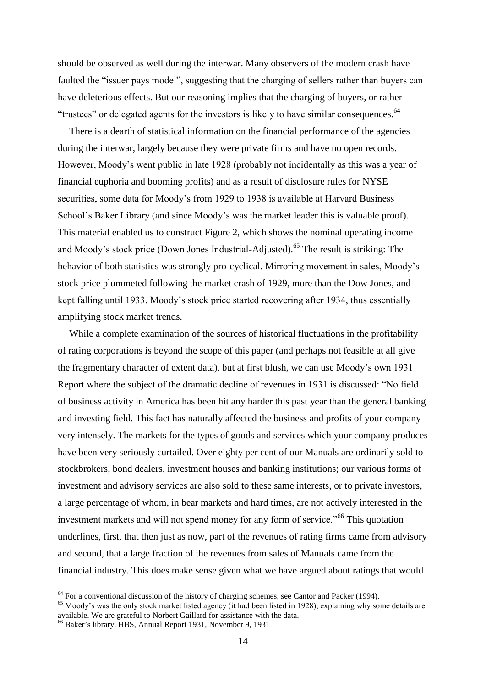should be observed as well during the interwar. Many observers of the modern crash have faulted the "issuer pays model", suggesting that the charging of sellers rather than buyers can have deleterious effects. But our reasoning implies that the charging of buyers, or rather "trustees" or delegated agents for the investors is likely to have similar consequences.<sup>64</sup>

There is a dearth of statistical information on the financial performance of the agencies during the interwar, largely because they were private firms and have no open records. However, Moody's went public in late 1928 (probably not incidentally as this was a year of financial euphoria and booming profits) and as a result of disclosure rules for NYSE securities, some data for Moody's from 1929 to 1938 is available at Harvard Business School's Baker Library (and since Moody's was the market leader this is valuable proof). This material enabled us to construct Figure 2, which shows the nominal operating income and Moody's stock price (Down Jones Industrial-Adjusted).<sup>65</sup> The result is striking: The behavior of both statistics was strongly pro-cyclical. Mirroring movement in sales, Moody's stock price plummeted following the market crash of 1929, more than the Dow Jones, and kept falling until 1933. Moody's stock price started recovering after 1934, thus essentially amplifying stock market trends.

While a complete examination of the sources of historical fluctuations in the profitability of rating corporations is beyond the scope of this paper (and perhaps not feasible at all give the fragmentary character of extent data), but at first blush, we can use Moody's own 1931 Report where the subject of the dramatic decline of revenues in 1931 is discussed: "No field of business activity in America has been hit any harder this past year than the general banking and investing field. This fact has naturally affected the business and profits of your company very intensely. The markets for the types of goods and services which your company produces have been very seriously curtailed. Over eighty per cent of our Manuals are ordinarily sold to stockbrokers, bond dealers, investment houses and banking institutions; our various forms of investment and advisory services are also sold to these same interests, or to private investors, a large percentage of whom, in bear markets and hard times, are not actively interested in the investment markets and will not spend money for any form of service.<sup>"66</sup> This quotation underlines, first, that then just as now, part of the revenues of rating firms came from advisory and second, that a large fraction of the revenues from sales of Manuals came from the financial industry. This does make sense given what we have argued about ratings that would

 $64$  For a conventional discussion of the history of charging schemes, see Cantor and Packer (1994).

<sup>&</sup>lt;sup>65</sup> Moody's was the only stock market listed agency (it had been listed in 1928), explaining why some details are available. We are grateful to Norbert Gaillard for assistance with the data.

<sup>66</sup> Baker's library, HBS, Annual Report 1931, November 9, 1931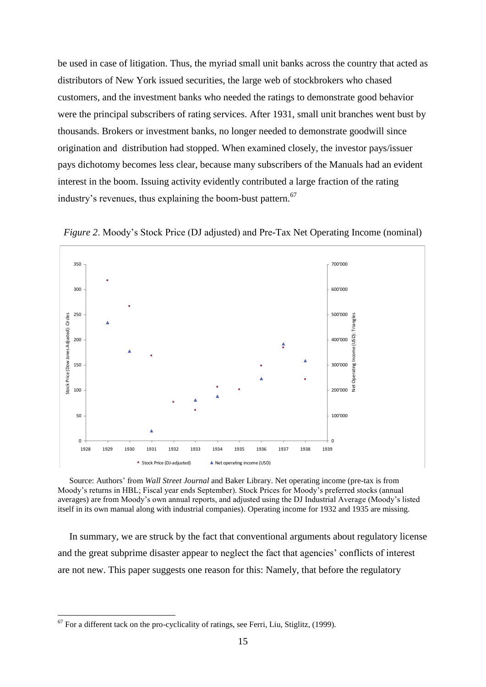be used in case of litigation. Thus, the myriad small unit banks across the country that acted as distributors of New York issued securities, the large web of stockbrokers who chased customers, and the investment banks who needed the ratings to demonstrate good behavior were the principal subscribers of rating services. After 1931, small unit branches went bust by thousands. Brokers or investment banks, no longer needed to demonstrate goodwill since origination and distribution had stopped. When examined closely, the investor pays/issuer pays dichotomy becomes less clear, because many subscribers of the Manuals had an evident interest in the boom. Issuing activity evidently contributed a large fraction of the rating industry's revenues, thus explaining the boom-bust pattern.<sup>67</sup>



*Figure 2.* Moody's Stock Price (DJ adjusted) and Pre-Tax Net Operating Income (nominal)

Source: Authors' from *Wall Street Journal* and Baker Library. Net operating income (pre-tax is from Moody's returns in HBL; Fiscal year ends September). Stock Prices for Moody's preferred stocks (annual averages) are from Moody's own annual reports, and adjusted using the DJ Industrial Average (Moody's listed itself in its own manual along with industrial companies). Operating income for 1932 and 1935 are missing.

In summary, we are struck by the fact that conventional arguments about regulatory license and the great subprime disaster appear to neglect the fact that agencies' conflicts of interest are not new. This paper suggests one reason for this: Namely, that before the regulatory

 $67$  For a different tack on the pro-cyclicality of ratings, see Ferri, Liu, Stiglitz, (1999).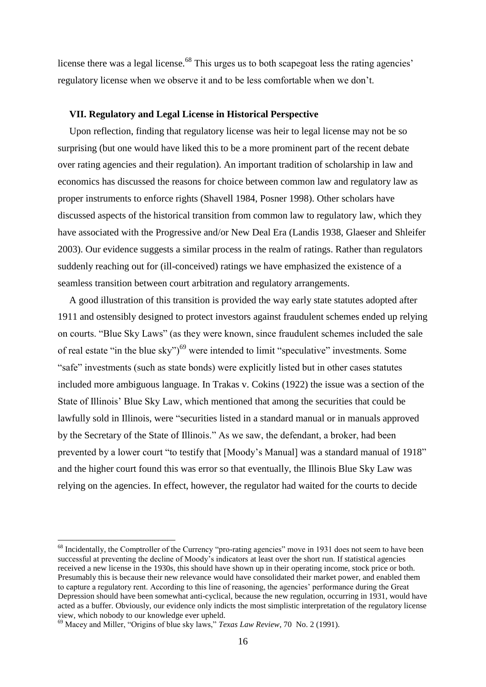license there was a legal license.<sup>68</sup> This urges us to both scapegoat less the rating agencies' regulatory license when we observe it and to be less comfortable when we don't.

#### **VII. Regulatory and Legal License in Historical Perspective**

Upon reflection, finding that regulatory license was heir to legal license may not be so surprising (but one would have liked this to be a more prominent part of the recent debate over rating agencies and their regulation). An important tradition of scholarship in law and economics has discussed the reasons for choice between common law and regulatory law as proper instruments to enforce rights (Shavell 1984, Posner 1998). Other scholars have discussed aspects of the historical transition from common law to regulatory law, which they have associated with the Progressive and/or New Deal Era (Landis 1938, Glaeser and Shleifer 2003). Our evidence suggests a similar process in the realm of ratings. Rather than regulators suddenly reaching out for (ill-conceived) ratings we have emphasized the existence of a seamless transition between court arbitration and regulatory arrangements.

A good illustration of this transition is provided the way early state statutes adopted after 1911 and ostensibly designed to protect investors against fraudulent schemes ended up relying on courts. "Blue Sky Laws" (as they were known, since fraudulent schemes included the sale of real estate "in the blue sky")<sup>69</sup> were intended to limit "speculative" investments. Some "safe" investments (such as state bonds) were explicitly listed but in other cases statutes included more ambiguous language. In Trakas v. Cokins (1922) the issue was a section of the State of Illinois' Blue Sky Law, which mentioned that among the securities that could be lawfully sold in Illinois, were "securities listed in a standard manual or in manuals approved by the Secretary of the State of Illinois." As we saw, the defendant, a broker, had been prevented by a lower court "to testify that [Moody's Manual] was a standard manual of 1918" and the higher court found this was error so that eventually, the Illinois Blue Sky Law was relying on the agencies. In effect, however, the regulator had waited for the courts to decide

<sup>&</sup>lt;sup>68</sup> Incidentally, the Comptroller of the Currency "pro-rating agencies" move in 1931 does not seem to have been successful at preventing the decline of Moody's indicators at least over the short run. If statistical agencies received a new license in the 1930s, this should have shown up in their operating income, stock price or both. Presumably this is because their new relevance would have consolidated their market power, and enabled them to capture a regulatory rent. According to this line of reasoning, the agencies' performance during the Great Depression should have been somewhat anti-cyclical, because the new regulation, occurring in 1931, would have acted as a buffer. Obviously, our evidence only indicts the most simplistic interpretation of the regulatory license view, which nobody to our knowledge ever upheld.

<sup>69</sup> Macey and Miller, "Origins of blue sky laws," *Texas Law Review*, 70 No. 2 (1991).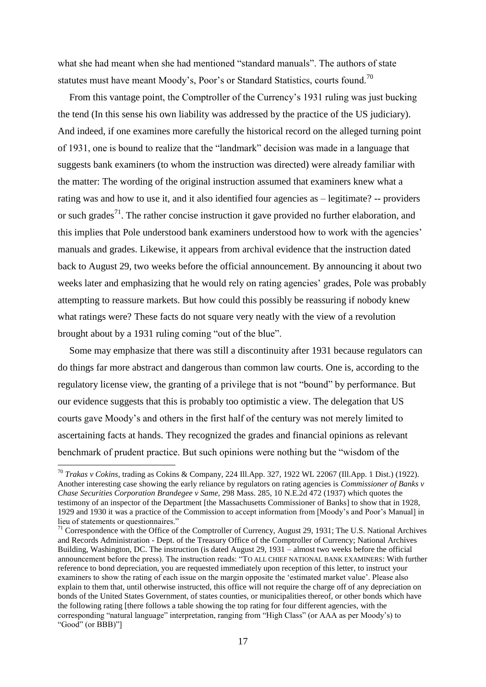what she had meant when she had mentioned "standard manuals". The authors of state statutes must have meant Moody's, Poor's or Standard Statistics, courts found.<sup>70</sup>

From this vantage point, the Comptroller of the Currency's 1931 ruling was just bucking the tend (In this sense his own liability was addressed by the practice of the US judiciary). And indeed, if one examines more carefully the historical record on the alleged turning point of 1931, one is bound to realize that the "landmark" decision was made in a language that suggests bank examiners (to whom the instruction was directed) were already familiar with the matter: The wording of the original instruction assumed that examiners knew what a rating was and how to use it, and it also identified four agencies as – legitimate? -- providers or such grades<sup>71</sup>. The rather concise instruction it gave provided no further elaboration, and this implies that Pole understood bank examiners understood how to work with the agencies' manuals and grades. Likewise, it appears from archival evidence that the instruction dated back to August 29, two weeks before the official announcement. By announcing it about two weeks later and emphasizing that he would rely on rating agencies' grades, Pole was probably attempting to reassure markets. But how could this possibly be reassuring if nobody knew what ratings were? These facts do not square very neatly with the view of a revolution brought about by a 1931 ruling coming "out of the blue".

Some may emphasize that there was still a discontinuity after 1931 because regulators can do things far more abstract and dangerous than common law courts. One is, according to the regulatory license view, the granting of a privilege that is not "bound" by performance. But our evidence suggests that this is probably too optimistic a view. The delegation that US courts gave Moody's and others in the first half of the century was not merely limited to ascertaining facts at hands. They recognized the grades and financial opinions as relevant benchmark of prudent practice. But such opinions were nothing but the "wisdom of the

<sup>70</sup> *Trakas v Cokins,* trading as Cokins & Company, 224 Ill.App. 327, 1922 WL 22067 (Ill.App. 1 Dist.) (1922). Another interesting case showing the early reliance by regulators on rating agencies is *Commissioner of Banks v Chase Securities Corporation Brandegee v Same*, 298 Mass. 285, 10 N.E.2d 472 (1937) which quotes the testimony of an inspector of the Department [the Massachusetts Commissioner of Banks] to show that in 1928, 1929 and 1930 it was a practice of the Commission to accept information from [Moody's and Poor's Manual] in lieu of statements or questionnaires."

 $71$  Correspondence with the Office of the Comptroller of Currency, August 29, 1931; The U.S. National Archives and Records Administration - Dept. of the Treasury Office of the Comptroller of Currency; National Archives Building, Washington, DC. The instruction (is dated August 29, 1931 – almost two weeks before the official announcement before the press). The instruction reads: "TO ALL CHIEF NATIONAL BANK EXAMINERS: With further reference to bond depreciation, you are requested immediately upon reception of this letter, to instruct your examiners to show the rating of each issue on the margin opposite the 'estimated market value'. Please also explain to them that, until otherwise instructed, this office will not require the charge off of any depreciation on bonds of the United States Government, of states counties, or municipalities thereof, or other bonds which have the following rating [there follows a table showing the top rating for four different agencies, with the corresponding "natural language" interpretation, ranging from "High Class" (or AAA as per Moody's) to "Good" (or BBB)"]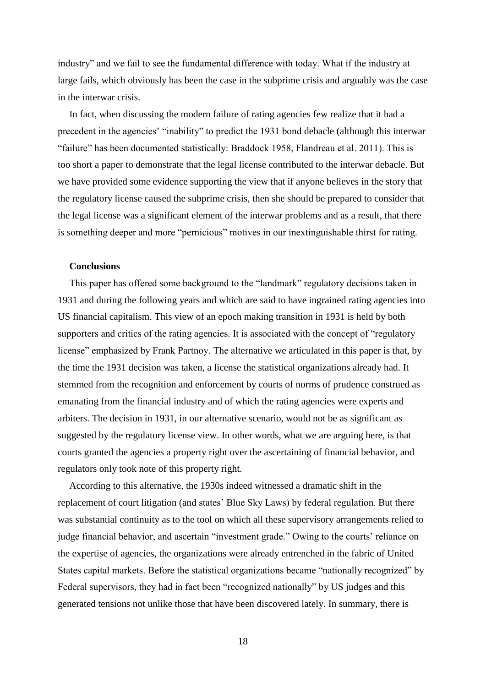industry" and we fail to see the fundamental difference with today. What if the industry at large fails, which obviously has been the case in the subprime crisis and arguably was the case in the interwar crisis.

In fact, when discussing the modern failure of rating agencies few realize that it had a precedent in the agencies' "inability" to predict the 1931 bond debacle (although this interwar "failure" has been documented statistically: Braddock 1958, Flandreau et al. 2011). This is too short a paper to demonstrate that the legal license contributed to the interwar debacle. But we have provided some evidence supporting the view that if anyone believes in the story that the regulatory license caused the subprime crisis, then she should be prepared to consider that the legal license was a significant element of the interwar problems and as a result, that there is something deeper and more "pernicious" motives in our inextinguishable thirst for rating.

#### **Conclusions**

This paper has offered some background to the "landmark" regulatory decisions taken in 1931 and during the following years and which are said to have ingrained rating agencies into US financial capitalism. This view of an epoch making transition in 1931 is held by both supporters and critics of the rating agencies. It is associated with the concept of "regulatory license" emphasized by Frank Partnoy. The alternative we articulated in this paper is that, by the time the 1931 decision was taken, a license the statistical organizations already had. It stemmed from the recognition and enforcement by courts of norms of prudence construed as emanating from the financial industry and of which the rating agencies were experts and arbiters. The decision in 1931, in our alternative scenario, would not be as significant as suggested by the regulatory license view. In other words, what we are arguing here, is that courts granted the agencies a property right over the ascertaining of financial behavior, and regulators only took note of this property right.

According to this alternative, the 1930s indeed witnessed a dramatic shift in the replacement of court litigation (and states' Blue Sky Laws) by federal regulation. But there was substantial continuity as to the tool on which all these supervisory arrangements relied to judge financial behavior, and ascertain "investment grade." Owing to the courts' reliance on the expertise of agencies, the organizations were already entrenched in the fabric of United States capital markets. Before the statistical organizations became "nationally recognized" by Federal supervisors, they had in fact been "recognized nationally" by US judges and this generated tensions not unlike those that have been discovered lately. In summary, there is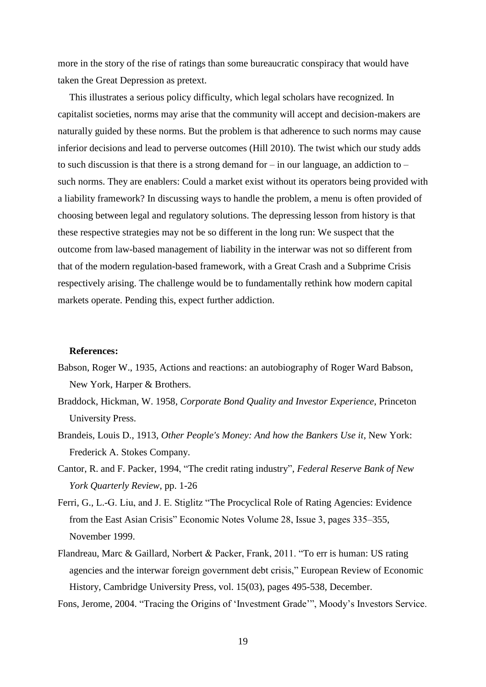more in the story of the rise of ratings than some bureaucratic conspiracy that would have taken the Great Depression as pretext.

This illustrates a serious policy difficulty, which legal scholars have recognized. In capitalist societies, norms may arise that the community will accept and decision-makers are naturally guided by these norms. But the problem is that adherence to such norms may cause inferior decisions and lead to perverse outcomes (Hill 2010). The twist which our study adds to such discussion is that there is a strong demand for  $-$  in our language, an addiction to  $$ such norms. They are enablers: Could a market exist without its operators being provided with a liability framework? In discussing ways to handle the problem, a menu is often provided of choosing between legal and regulatory solutions. The depressing lesson from history is that these respective strategies may not be so different in the long run: We suspect that the outcome from law-based management of liability in the interwar was not so different from that of the modern regulation-based framework, with a Great Crash and a Subprime Crisis respectively arising. The challenge would be to fundamentally rethink how modern capital markets operate. Pending this, expect further addiction.

#### **References:**

- Babson, Roger W., 1935, Actions and reactions: an autobiography of Roger Ward Babson, New York, Harper & Brothers.
- Braddock, Hickman, W. 1958, *Corporate Bond Quality and Investor Experience*, Princeton University Press.
- Brandeis, Louis D., 1913, *Other People's Money: And how the Bankers Use it*, New York: Frederick A. Stokes Company.
- Cantor, R. and F. Packer, 1994, "The credit rating industry", *Federal Reserve Bank of New York Quarterly Review*, pp. 1-26
- Ferri, G., L.-G. Liu, and J. E. Stiglitz "The Procyclical Role of Rating Agencies: Evidence from the East Asian Crisis" Economic Notes Volume 28, Issue 3, pages 335–355, November 1999.
- Flandreau, Marc & Gaillard, Norbert & Packer, Frank, 2011. "To err is human: US rating agencies and the interwar foreign government debt crisis," European Review of Economic History, Cambridge University Press, vol. 15(03), pages 495-538, December.
- Fons, Jerome, 2004. "Tracing the Origins of 'Investment Grade'", Moody's Investors Service.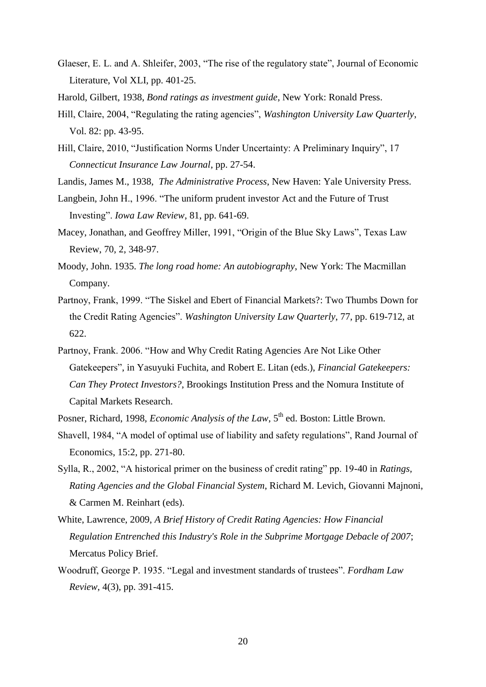Glaeser, E. L. and A. Shleifer, 2003, "The rise of the regulatory state", Journal of Economic Literature, Vol XLI, pp. 401-25.

Harold, Gilbert, 1938, *Bond ratings as investment guide*, New York: Ronald Press.

- Hill, Claire, 2004, "Regulating the rating agencies", *Washington University Law Quarterly*, Vol. 82: pp. 43-95.
- Hill, Claire, 2010, "Justification Norms Under Uncertainty: A Preliminary Inquiry", 17 *Connecticut Insurance Law Journal*, pp. 27-54.
- Landis, James M., 1938, *The Administrative Process*, New Haven: Yale University Press.
- Langbein, John H., 1996. "The uniform prudent investor Act and the Future of Trust Investing". *Iowa Law Review*, 81, pp. 641-69.
- Macey, Jonathan, and Geoffrey Miller, 1991, "Origin of the Blue Sky Laws", Texas Law Review, 70, 2, 348-97.
- Moody, John. 1935. *The long road home: An autobiography*, New York: The Macmillan Company.
- Partnoy, Frank, 1999. "The Siskel and Ebert of Financial Markets?: Two Thumbs Down for the Credit Rating Agencies". *Washington University Law Quarterly*, 77, pp. 619-712, at 622.
- Partnoy, Frank. 2006. "How and Why Credit Rating Agencies Are Not Like Other Gatekeepers", in Yasuyuki Fuchita, and Robert E. Litan (eds.), *Financial Gatekeepers: Can They Protect Investors?*, Brookings Institution Press and the Nomura Institute of Capital Markets Research.
- Posner, Richard, 1998, *Economic Analysis of the Law*, 5<sup>th</sup> ed. Boston: Little Brown.
- Shavell, 1984, "A model of optimal use of liability and safety regulations", Rand Journal of Economics, 15:2, pp. 271-80.
- Sylla, R., 2002, "A historical primer on the business of credit rating" pp. 19-40 in *Ratings, Rating Agencies and the Global Financial System*, Richard M. Levich, Giovanni Majnoni, & Carmen M. Reinhart (eds).
- White, Lawrence, 2009, *A Brief History of Credit Rating Agencies: How Financial Regulation Entrenched this Industry's Role in the Subprime Mortgage Debacle of 2007*; Mercatus Policy Brief.
- Woodruff, George P. 1935. "Legal and investment standards of trustees". *Fordham Law Review*, 4(3), pp. 391-415.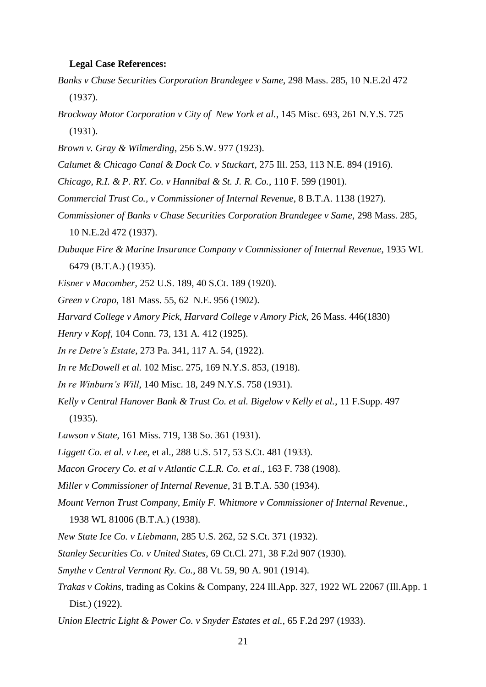#### **Legal Case References:**

- *Banks v Chase Securities Corporation Brandegee v Same*, 298 Mass. 285, 10 N.E.2d 472 (1937).
- *Brockway Motor Corporation v City of New York et al.*, 145 Misc. 693, 261 N.Y.S. 725 (1931).
- *Brown v. Gray & Wilmerding*, 256 S.W. 977 (1923).
- *Calumet & Chicago Canal & Dock Co. v Stuckart*, 275 Ill. 253, 113 N.E. 894 (1916).
- *Chicago, R.I. & P. RY. Co. v Hannibal & St. J. R. Co.*, 110 F. 599 (1901).
- *Commercial Trust Co., v Commissioner of Internal Revenue*, 8 B.T.A. 1138 (1927).
- *Commissioner of Banks v Chase Securities Corporation Brandegee v Same*, 298 Mass. 285, 10 N.E.2d 472 (1937).
- *Dubuque Fire & Marine Insurance Company v Commissioner of Internal Revenue*, 1935 WL 6479 (B.T.A.) (1935).
- *Eisner v Macomber*, 252 U.S. 189, 40 S.Ct. 189 (1920).
- *Green v Crapo*, 181 Mass. 55, 62 N.E. 956 (1902).
- *Harvard College v Amory Pick*, *Harvard College v Amory Pick*, 26 Mass. 446(1830)
- *Henry v Kopf*, 104 Conn. 73, 131 A. 412 (1925).
- *In re Detre's Estate*, 273 Pa. 341, 117 A. 54, (1922).
- *In re McDowell et al.* 102 Misc. 275, 169 N.Y.S. 853, (1918).
- *In re Winburn's Will*, 140 Misc. 18, 249 N.Y.S. 758 (1931).
- *Kelly v Central Hanover Bank & Trust Co. et al. Bigelow v Kelly et al.*, 11 F.Supp. 497 (1935).
- *Lawson v State*, 161 Miss. 719, 138 So. 361 (1931).
- *Liggett Co. et al. v Lee*, et al., 288 U.S. 517, 53 S.Ct. 481 (1933).
- *Macon Grocery Co. et al v Atlantic C.L.R. Co. et al*., 163 F. 738 (1908).
- *Miller v Commissioner of Internal Revenue*, 31 B.T.A. 530 (1934).
- *Mount Vernon Trust Company, Emily F. Whitmore v Commissioner of Internal Revenue.*, 1938 WL 81006 (B.T.A.) (1938).
- *New State Ice Co. v Liebmann*, 285 U.S. 262, 52 S.Ct. 371 (1932).
- *Stanley Securities Co. v United States*, 69 Ct.Cl. 271, 38 F.2d 907 (1930).
- *Smythe v Central Vermont Ry. Co.*, 88 Vt. 59, 90 A. 901 (1914).
- *Trakas v Cokins*, trading as Cokins & Company, 224 Ill.App. 327, 1922 WL 22067 (Ill.App. 1 Dist.) (1922).
- *Union Electric Light & Power Co. v Snyder Estates et al.*, 65 F.2d 297 (1933).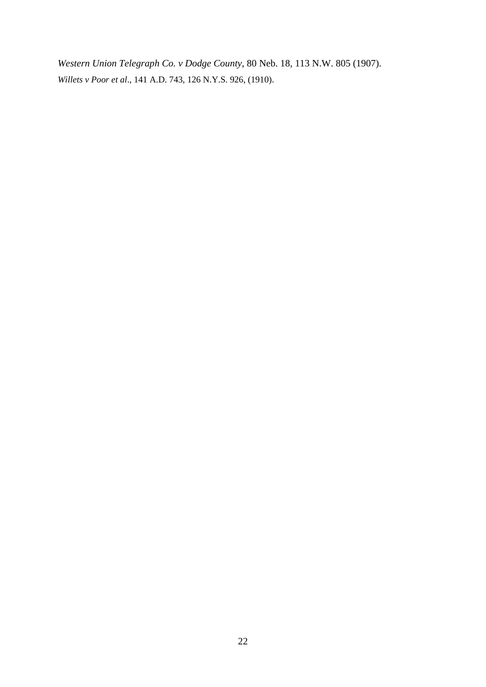*Western Union Telegraph Co. v Dodge County*, 80 Neb. 18, 113 N.W. 805 (1907). *Willets v Poor et al*., 141 A.D. 743, 126 N.Y.S. 926, (1910).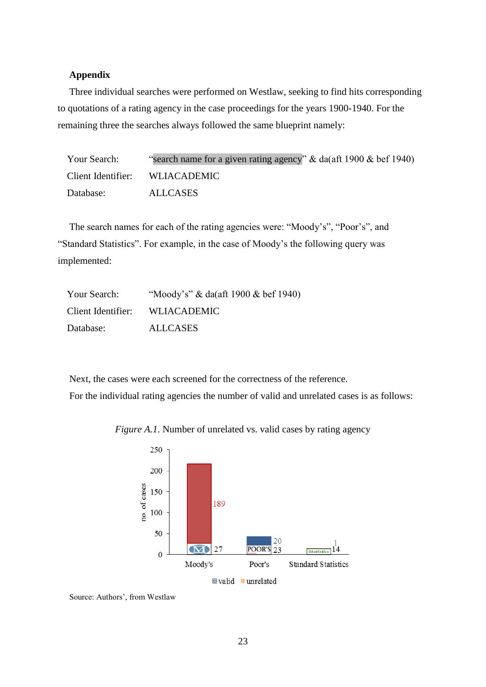#### **Appendix**

Three individual searches were performed on Westlaw, seeking to find hits corresponding to quotations of a rating agency in the case proceedings for the years 1900-1940. For the remaining three the searches always followed the same blueprint namely:

| Your Search:       | "search name for a given rating agency" & da(aft 1900 & bef 1940) |
|--------------------|-------------------------------------------------------------------|
| Client Identifier: | WLIACADEMIC                                                       |
| Database:          | ALLCASES                                                          |

The search names for each of the rating agencies were: "Moody's", "Poor's", and "Standard Statistics". For example, in the case of Moody's the following query was implemented:

| Your Search:       | "Moody's" & da(aft 1900 & bef 1940) |
|--------------------|-------------------------------------|
| Client Identifier: | <b>WLIACADEMIC</b>                  |
| Database:          | <b>ALLCASES</b>                     |

Next, the cases were each screened for the correctness of the reference. For the individual rating agencies the number of valid and unrelated cases is as follows:



*Figure A.1*. Number of unrelated vs. valid cases by rating agency

Source: Authors', from Westlaw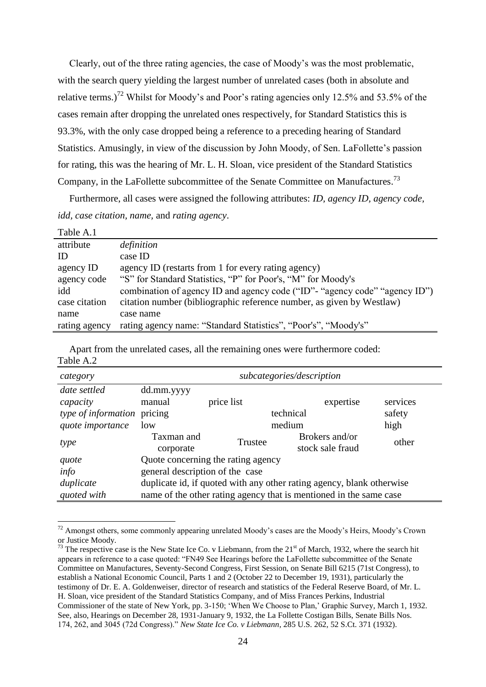Clearly, out of the three rating agencies, the case of Moody's was the most problematic, with the search query yielding the largest number of unrelated cases (both in absolute and relative terms.)<sup>72</sup> Whilst for Moody's and Poor's rating agencies only 12.5% and 53.5% of the cases remain after dropping the unrelated ones respectively, for Standard Statistics this is 93.3%, with the only case dropped being a reference to a preceding hearing of Standard Statistics. Amusingly, in view of the discussion by John Moody, of Sen. LaFollette's passion for rating, this was the hearing of Mr. L. H. Sloan, vice president of the Standard Statistics Company, in the LaFollette subcommittee of the Senate Committee on Manufactures.<sup>73</sup>

Furthermore, all cases were assigned the following attributes: *ID, agency ID, agency code, idd, case citation, name,* and *rating agency*.

| Table A.1     |                                                                            |
|---------------|----------------------------------------------------------------------------|
| attribute     | definition                                                                 |
| ID            | case ID                                                                    |
| agency ID     | agency ID (restarts from 1 for every rating agency)                        |
| agency code   | "S" for Standard Statistics, "P" for Poor's, "M" for Moody's               |
| idd           | combination of agency ID and agency code ("ID"- "agency code" "agency ID") |
| case citation | citation number (bibliographic reference number, as given by Westlaw)      |
| name          | case name                                                                  |
| rating agency | rating agency name: "Standard Statistics", "Poor's", "Moody's"             |

Apart from the unrelated cases, all the remaining ones were furthermore coded: Table A.2

| category                    | subcategories/description                                             |            |                  |          |  |
|-----------------------------|-----------------------------------------------------------------------|------------|------------------|----------|--|
| date settled                | dd.mm.yyyy                                                            |            |                  |          |  |
| capacity                    | manual                                                                | price list | expertise        | services |  |
| type of information pricing |                                                                       |            | technical        | safety   |  |
| quote importance            | low                                                                   |            | medium           | high     |  |
| type                        | Taxman and                                                            | Trustee    | Brokers and/or   | other    |  |
|                             | corporate                                                             |            | stock sale fraud |          |  |
| quote                       | Quote concerning the rating agency                                    |            |                  |          |  |
| info                        | general description of the case                                       |            |                  |          |  |
| duplicate                   | duplicate id, if quoted with any other rating agency, blank otherwise |            |                  |          |  |
| quoted with                 | name of the other rating agency that is mentioned in the same case    |            |                  |          |  |

<sup>&</sup>lt;sup>72</sup> Amongst others, some commonly appearing unrelated Moody's cases are the Moody's Heirs, Moody's Crown or Justice Moody.

1

 $^{73}$  The respective case is the New State Ice Co. v Liebmann, from the 21<sup>st</sup> of March, 1932, where the search hit appears in reference to a case quoted: "FN49 See Hearings before the LaFollette subcommittee of the Senate Committee on Manufactures, Seventy-Second Congress, First Session, on Senate Bill 6215 (71st Congress), to establish a National Economic Council, Parts 1 and 2 (October 22 to December 19, 1931), particularly the testimony of Dr. E. A. Goldenweiser, director of research and statistics of the Federal Reserve Board, of Mr. L. H. Sloan, vice president of the Standard Statistics Company, and of Miss Frances Perkins, Industrial Commissioner of the state of New York, pp. 3-150; 'When We Choose to Plan,' Graphic Survey, March 1, 1932. See, also, Hearings on December 28, 1931-January 9, 1932, the La Follette Costigan Bills, Senate Bills Nos. 174, 262, and 3045 (72d Congress)." *New State Ice Co. v Liebmann*, 285 U.S. 262, 52 S.Ct. 371 (1932).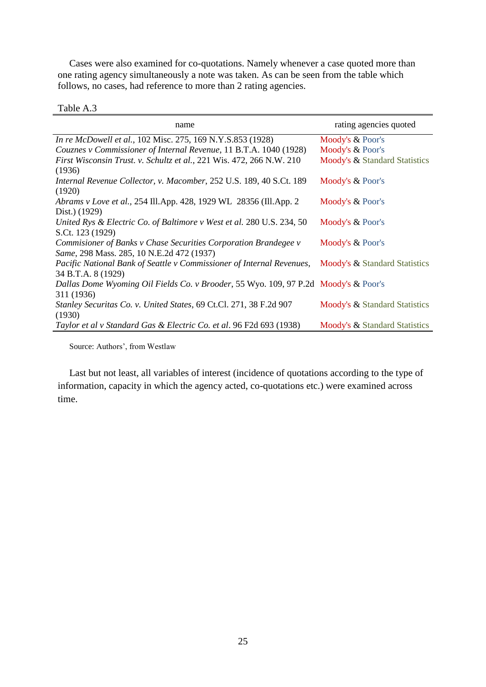Cases were also examined for co-quotations. Namely whenever a case quoted more than one rating agency simultaneously a note was taken. As can be seen from the table which follows, no cases, had reference to more than 2 rating agencies.

#### Table A.3

| name                                                                                | rating agencies quoted        |
|-------------------------------------------------------------------------------------|-------------------------------|
| In re McDowell et al., 102 Misc. 275, 169 N.Y.S.853 (1928)                          | Moody's & Poor's              |
| Couznes v Commissioner of Internal Revenue, 11 B.T.A. 1040 (1928)                   | Moody's & Poor's              |
| First Wisconsin Trust. v. Schultz et al., 221 Wis. 472, 266 N.W. 210                | Moody's & Standard Statistics |
| (1936)                                                                              |                               |
| Internal Revenue Collector, v. Macomber, 252 U.S. 189, 40 S.Ct. 189                 | Moody's & Poor's              |
| (1920)                                                                              |                               |
| Abrams v Love et al., 254 Ill.App. 428, 1929 WL 28356 (Ill.App. 2)                  | Moody's & Poor's              |
| Dist.) (1929)                                                                       |                               |
| United Rys & Electric Co. of Baltimore v West et al. 280 U.S. 234, 50               | Moody's & Poor's              |
| S.Ct. 123 (1929)                                                                    |                               |
| Commisioner of Banks v Chase Securities Corporation Brandegee v                     | Moody's & Poor's              |
| Same, 298 Mass. 285, 10 N.E.2d 472 (1937)                                           |                               |
| Pacific National Bank of Seattle v Commissioner of Internal Revenues,               | Moody's & Standard Statistics |
| 34 B.T.A. 8 (1929)                                                                  |                               |
| Dallas Dome Wyoming Oil Fields Co. v Brooder, 55 Wyo. 109, 97 P.2d Moody's & Poor's |                               |
| 311 (1936)                                                                          |                               |
| Stanley Securitas Co. v. United States, 69 Ct.Cl. 271, 38 F.2d 907                  | Moody's & Standard Statistics |
| (1930)                                                                              |                               |
| Taylor et al v Standard Gas & Electric Co. et al. 96 F2d 693 (1938)                 | Moody's & Standard Statistics |

Source: Authors', from Westlaw

Last but not least, all variables of interest (incidence of quotations according to the type of information, capacity in which the agency acted, co-quotations etc.) were examined across time.